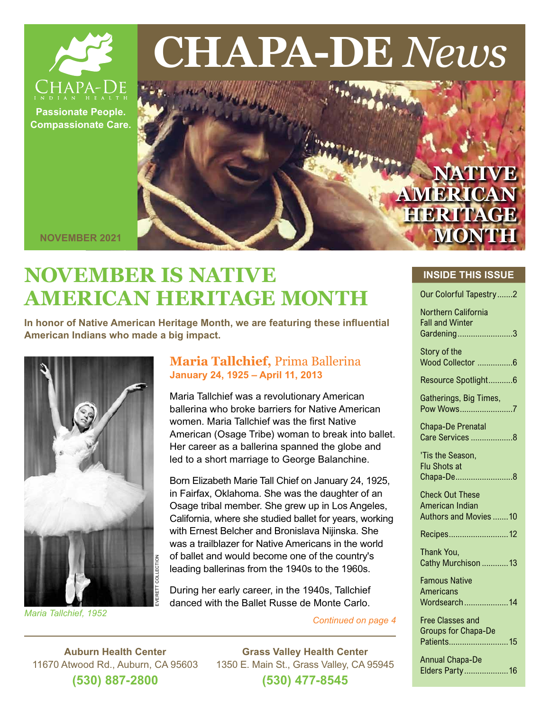

# **CHAPA-DE** *News*

**Passionate People. Compassionate Care.**

> **NATIVE AMERICAN HERITAGE MONTH**

**NOVEMBER 2021**

# **NOVEMBER IS NATIVE AMERICAN HERITAGE MONTH**

**In honor of Native American Heritage Month, we are featuring these influential American Indians who made a big impact.**



*Continued on page 4 Maria Tallchief, 1952*

### **Maria Tallchief,** Prima Ballerina **January 24, 1925 – April 11, 2013**

Maria Tallchief was a revolutionary American ballerina who broke barriers for Native American women. Maria Tallchief was the first Native American (Osage Tribe) woman to break into ballet. Her career as a ballerina spanned the globe and led to a short marriage to George Balanchine.

Born Elizabeth Marie Tall Chief on January 24, 1925, in Fairfax, Oklahoma. She was the daughter of an Osage tribal member. She grew up in Los Angeles, California, where she studied ballet for years, working with Ernest Belcher and Bronislava Nijinska. She was a trailblazer for Native Americans in the world of ballet and would become one of the country's leading ballerinas from the 1940s to the 1960s.

During her early career, in the 1940s, Tallchief danced with the Ballet Russe de Monte Carlo.

**Auburn Health Center** 11670 Atwood Rd., Auburn, CA 95603 **(530) 887-2800 Grass Valley Health Center** 1350 E. Main St., Grass Valley, CA 95945 **(530) 477-8545**

#### **INSIDE THIS ISSUE**

| Our Colorful Tapestry2                                      |
|-------------------------------------------------------------|
| Northern California<br><b>Fall and Winter</b><br>Gardening3 |
| Story of the                                                |
| Wood Collector 6                                            |
| Resource Spotlight6                                         |
| Gatherings, Big Times,<br>Pow Wows7                         |
| <b>Chapa-De Prenatal</b>                                    |
| Care Services 8                                             |
| 'Tis the Season,                                            |
| <b>Flu Shots at</b>                                         |
| Chapa-De8                                                   |
| <b>Check Out These</b>                                      |
| American Indian                                             |
| Authors and Movies 10                                       |
| Recipes12                                                   |
| Thank You,                                                  |
| Cathy Murchison  13                                         |
| <b>Famous Native</b>                                        |
| Americans                                                   |
| Wordsearch14                                                |
| <b>Free Classes and</b>                                     |
| <b>Groups for Chapa-De</b>                                  |
| Patients<br>15                                              |
| <b>Annual Chapa-De</b>                                      |
| Elders Party16                                              |
|                                                             |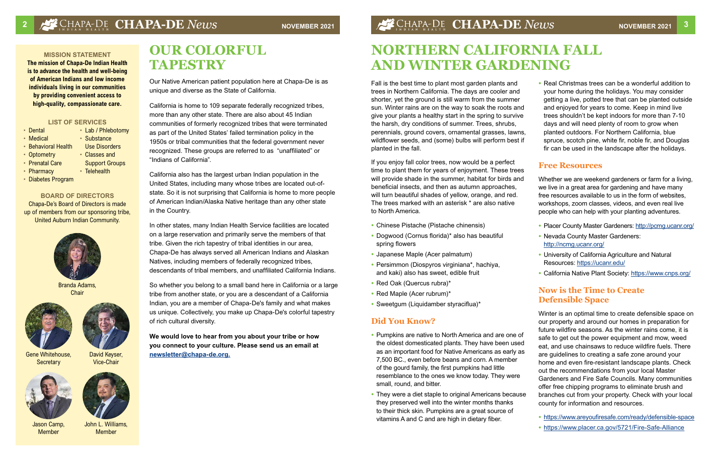# **<sup>2</sup> CHAPA-DE** *News* **NOVEMBER 2021 CHAPA-DE** *News* **NOVEMBER 2021 <sup>3</sup>**

#### **BOARD OF DIRECTORS**

Chapa-De's Board of Directors is made up of members from our sponsoring tribe, United Auburn Indian Community.

#### **MISSION STATEMENT**

**The mission of Chapa-De Indian Health is to advance the health and well-being of American Indians and low income individuals living in our communities by providing convenient access to high-quality, compassionate care.** 



Branda Adams, **Chair** 



Gene Whitehouse, **Secretary** 

#### **LIST OF SERVICES**

- Dental
- Medical
- Behavioral Health
- Optometry
- Prenatal Care
- Pharmacy
- 
- Diabetes Program

• Lab / Phlebotomy

• Substance Use Disorders • Classes and Support Groups

• Telehealth

Jason Camp, Member

John L. Williams

Member



David Keyser,

Vice-Chair





# **OUR COLORFUL TAPESTRY**

Our Native American patient population here at Chapa-De is as unique and diverse as the State of California.

California is home to 109 separate federally recognized tribes, more than any other state. There are also about 45 Indian communities of formerly recognized tribes that were terminated as part of the United States' failed termination policy in the 1950s or tribal communities that the federal government never recognized. These groups are referred to as "unaffiliated" or "Indians of California".

California also has the largest urban Indian population in the United States, including many whose tribes are located out-ofstate. So it is not surprising that California is home to more people of American Indian/Alaska Native heritage than any other state in the Country.

In other states, many Indian Health Service facilities are located on a large reservation and primarily serve the members of that tribe. Given the rich tapestry of tribal identities in our area, Chapa-De has always served all American Indians and Alaskan Natives, including members of federally recognized tribes, descendants of tribal members, and unaffiliated California Indians.

So whether you belong to a small band here in California or a large tribe from another state, or you are a descendant of a California Indian, you are a member of Chapa-De's family and what makes us unique. Collectively, you make up Chapa-De's colorful tapestry of rich cultural diversity.

**We would love to hear from you about your tribe or how you connect to your culture. Please send us an email at [newsletter@chapa-de.org](mailto:newsletter%40chapa-de.org?subject=).**

Fall is the best time to plant most garden plants and trees in Northern California. The days are cooler and shorter, yet the ground is still warm from the summer sun. Winter rains are on the way to soak the roots and give your plants a healthy start in the spring to survive the harsh, dry conditions of summer. Trees, shrubs, perennials, ground covers, ornamental grasses, lawns, wildflower seeds, and (some) bulbs will perform best if planted in the fall.

If you enjoy fall color trees, now would be a perfect time to plant them for years of enjoyment. These trees will provide shade in the summer, habitat for birds and beneficial insects, and then as autumn approaches, will turn beautiful shades of yellow, orange, and red. The trees marked with an asterisk \* are also native to North America.

- **•** Chinese Pistache (Pistache chinensis)
- **•** Dogwood (Cornus florida)\* also has beautiful spring flowers
- **•** Japanese Maple (Acer palmatum)
- **•** Persimmon (Diospyros virginiana\*, hachiya, and kaki) also has sweet, edible fruit
- **•** Red Oak (Quercus rubra)\*
- **•** Red Maple (Acer rubrum)\*
- **•** Sweetgum (Liquidamber styraciflua)\*

#### **Did You Know?**

- **•** Pumpkins are native to North America and are one of the oldest domesticated plants. They have been used as an important food for Native Americans as early as 7,500 BC., even before beans and corn. A member of the gourd family, the first pumpkins had little resemblance to the ones we know today. They were small, round, and bitter.
- **•** They were a diet staple to original Americans because they preserved well into the winter months thanks to their thick skin. Pumpkins are a great source of vitamins A and C and are high in dietary fiber.

**•** Real Christmas trees can be a wonderful addition to your home during the holidays. You may consider getting a live, potted tree that can be planted outside and enjoyed for years to come. Keep in mind live trees shouldn't be kept indoors for more than 7-10 days and will need plenty of room to grow when planted outdoors. For Northern California, blue spruce, scotch pine, white fir, noble fir, and Douglas fir can be used in the landscape after the holidays.

### **Free Resources**

Whether we are weekend gardeners or farm for a living, we live in a great area for gardening and have many free resources available to us in the form of websites, workshops, zoom classes, videos, and even real live people who can help with your planting adventures.

- **•** Placer County Master Gardeners:<http://pcmg.ucanr.org/>
- **•** Nevada County Master Gardeners: <http://ncmg.ucanr.org/>
- **•** University of California Agriculture and Natural Resources:<https://ucanr.edu/>
- **•** California Native Plant Society:<https://www.cnps.org/>

## **Now is the Time to Create Defensible Space**

Winter is an optimal time to create defensible space on our property and around our homes in preparation for future wildfire seasons. As the winter rains come, it is safe to get out the power equipment and mow, weed eat, and use chainsaws to reduce wildfire fuels. There are guidelines to creating a safe zone around your home and even fire-resistant landscape plants. Check out the recommendations from your local Master Gardeners and Fire Safe Councils. Many communities offer free chipping programs to eliminate brush and branches cut from your property. Check with your local county for information and resources.

- **•** <https://www.areyoufiresafe.com/ready/defensible-space>
- **•** <https://www.placer.ca.gov/5721/Fire-Safe-Alliance>

# **NORTHERN CALIFORNIA FALL AND WINTER GARDENING**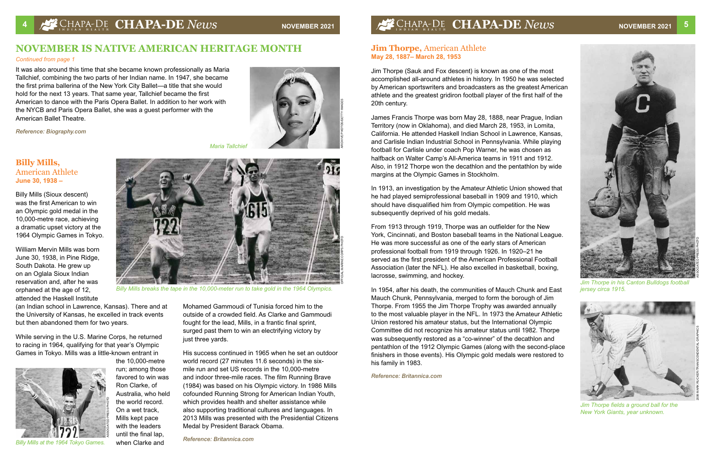## **Jim Thorpe,** American Athlete **May 28, 1887– March 28, 1953**

Jim Thorpe (Sauk and Fox descent) is known as one of the most accomplished all-around athletes in history. In 1950 he was selected by American sportswriters and broadcasters as the greatest American athlete and the greatest gridiron football player of the first half of the 20th century.

James Francis Thorpe was born May 28, 1888, near Prague, Indian Territory (now in Oklahoma), and died March 28, 1953, in Lomita, California. He attended Haskell Indian School in Lawrence, Kansas, and Carlisle Indian Industrial School in Pennsylvania. While playing football for Carlisle under coach Pop Warner, he was chosen as halfback on Walter Camp's All-America teams in 1911 and 1912. Also, in 1912 Thorpe won the decathlon and the pentathlon by wide margins at the Olympic Games in Stockholm.

In 1913, an investigation by the Amateur Athletic Union showed that he had played semiprofessional baseball in 1909 and 1910, which should have disqualified him from Olympic competition. He was subsequently deprived of his gold medals.

From 1913 through 1919, Thorpe was an outfielder for the New York, Cincinnati, and Boston baseball teams in the National League. He was more successful as one of the early stars of American professional football from 1919 through 1926. In 1920–21 he served as the first president of the American Professional Football Association (later the NFL). He also excelled in basketball, boxing, lacrosse, swimming, and hockey.

In 1954, after his death, the communities of Mauch Chunk and East Mauch Chunk, Pennsylvania, merged to form the borough of Jim Thorpe. From 1955 the Jim Thorpe Trophy was awarded annually to the most valuable player in the NFL. In 1973 the Amateur Athletic Union restored his amateur status, but the International Olympic Committee did not recognize his amateur status until 1982. Thorpe was subsequently restored as a "co-winner" of the decathlon and pentathlon of the 1912 Olympic Games (along with the second-place finishers in those events). His Olympic gold medals were restored to his family in 1983.

Mohamed Gammoudi of Tunisia forced him to the outside of a crowded field. As Clarke and Gammoudi fought for the lead, Mills, in a frantic final sprint, surged past them to win an electrifying victory by just three vards.

*Reference: Britannica.com*



It was also around this time that she became known professionally as Maria Tallchief, combining the two parts of her Indian name. In 1947, she became the first prima ballerina of the New York City Ballet—a title that she would hold for the next 13 years. That same year, Tallchief became the first American to dance with the Paris Opera Ballet. In addition to her work with the NYCB and Paris Opera Ballet, she was a guest performer with the American Ballet Theatre.

*Reference: Biography.com* 

## **NOVEMBER IS NATIVE AMERICAN HERITAGE MONTH**

#### *Continued from page 1*

## **Billy Mills,**  American Athlete **June 30, 1938 –**

Billy Mills (Sioux descent) was the first American to win an Olympic gold medal in the 10,000-metre race, achieving a dramatic upset victory at the 1964 Olympic Games in Tokyo.

William Mervin Mills was born June 30, 1938, in Pine Ridge, South Dakota. He grew up on an Oglala Sioux Indian reservation and, after he was orphaned at the age of 12, attended the Haskell Institute

(an Indian school in Lawrence, Kansas). There and at the University of Kansas, he excelled in track events but then abandoned them for two years.



*Jim Thorpe in his Canton Bulldogs football jersey circa 1915.*

While serving in the U.S. Marine Corps, he returned to racing in 1964, qualifying for that year's Olympic Games in Tokyo. Mills was a little-known entrant in

> the 10,000-metre run; among those favored to win was Ron Clarke, of Australia, who held the world record. On a wet track, Mills kept pace with the leaders until the final lap, when Clarke and



*Billy Mills breaks the tape in the 10,000-meter run to take gold in the 1964 Olympics.*

His success continued in 1965 when he set an outdoor world record (27 minutes 11.6 seconds) in the sixmile run and set US records in the 10,000-metre and indoor three-mile races. The film Running Brave (1984) was based on his Olympic victory. In 1986 Mills cofounded Running Strong for American Indian Youth, which provides health and shelter assistance while also supporting traditional cultures and languages. In 2013 Mills was presented with the Presidential Citizens Medal by President Barack Obama.

*Reference: Britannica.com*





*Maria Tallchief*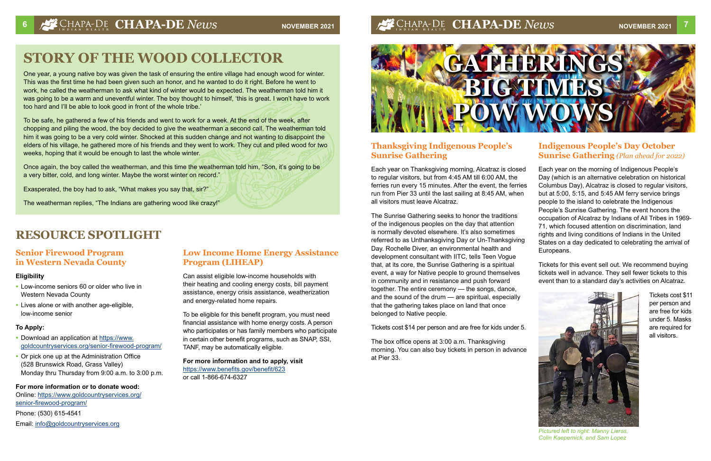## **Senior Firewood Program in Western Nevada County**

#### **Eligibility**

- **•** Low-income seniors 60 or older who live in Western Nevada County
- **•** Lives alone or with another age-eligible, low-income senior

- Download an application at [https://www.](https://www.goldcountryservices.org/senior-firewood-program/) [goldcountryservices.org/senior-firewood-program/](https://www.goldcountryservices.org/senior-firewood-program/)
- **•** Or pick one up at the Administration Office (528 Brunswick Road, Grass Valley) Monday thru Thursday from 9:00 a.m. to 3:00 p.m.

#### **To Apply:**

#### **For more information or to donate wood:**

Online: [https://www.goldcountryservices.org/](https://www.goldcountryservices.org/senior-firewood-program/) [senior-firewood-program/](https://www.goldcountryservices.org/senior-firewood-program/) Phone: (530) 615-4541 Email: [info@goldcountryservices.org](mailto:info%40goldcountryservices.org?subject=)

## **Low Income Home Energy Assistance Program (LIHEAP)**

Can assist eligible low-income households with their heating and cooling energy costs, bill payment assistance, energy crisis assistance, weatherization and energy-related home repairs.

To be eligible for this benefit program, you must need financial assistance with home energy costs. A person who participates or has family members who participate in certain other benefit programs, such as SNAP, SSI, TANF, may be automatically eligible.

**For more information and to apply, visit**  <https://www.benefits.gov/benefit/623> or call 1-866-674-6327

# **STORY OF THE WOOD COLLECTOR**

One year, a young native boy was given the task of ensuring the entire village had enough wood for winter. This was the first time he had been given such an honor, and he wanted to do it right. Before he went to work, he called the weatherman to ask what kind of winter would be expected. The weatherman told him it was going to be a warm and uneventful winter. The boy thought to himself, 'this is great. I won't have to work too hard and I'll be able to look good in front of the whole tribe.'

To be safe, he gathered a few of his friends and went to work for a week. At the end of the week, after chopping and piling the wood, the boy decided to give the weatherman a second call. The weatherman told him it was going to be a very cold winter. Shocked at this sudden change and not wanting to disappoint the elders of his village, he gathered more of his friends and they went to work. They cut and piled wood for two weeks, hoping that it would be enough to last the whole winter.

Once again, the boy called the weatherman, and this time the weatherman told him, "Son, it's going to be a very bitter, cold, and long winter. Maybe the worst winter on record."

Exasperated, the boy had to ask, "What makes you say that, sir?"

The weatherman replies, "The Indians are gathering wood like crazy!"

# **RESOURCE SPOTLIGHT**



## **Thanksgiving Indigenous People's Sunrise Gathering**

of the indigenous peoples on the day that attention is normally devoted elsewhere. It's also sometimes Day. Rochelle Diver, an environmental health and development consultant with IITC, tells Teen Vogue that, at its core, the Sunrise Gathering is a spiritual event, a way for Native people to ground themselves in community and in resistance and push forward together. The entire ceremony — the songs, dance, and the sound of the drum — are spiritual, especially that the gathering takes place on land that once belonged to Native people.

Each year on Thanksgiving morning, Alcatraz is closed to regular visitors, but from 4:45 AM till 6:00 AM, the ferries run every 15 minutes. After the event, the ferries run from Pier 33 until the last sailing at 8:45 AM, when all visitors must leave Alcatraz. The Sunrise Gathering seeks to honor the traditions referred to as Unthanksgiving Day or Un-Thanksgiving Each year on the morning of Indigenous People's Day (which is an alternative celebration on historical Columbus Day), Alcatraz is closed to regular visitors, but at 5:00, 5:15, and 5:45 AM ferry service brings people to the island to celebrate the Indigenous People's Sunrise Gathering. The event honors the occupation of Alcatraz by Indians of All Tribes in 1969- 71, which focused attention on discrimination, land rights and living conditions of Indians in the United States on a day dedicated to celebrating the arrival of Europeans.

Tickets cost \$14 per person and are free for kids under 5.

The box office opens at 3:00 a.m. Thanksgiving morning. You can also buy tickets in person in advance at Pier 33.

## **Indigenous People's Day October Sunrise Gathering** *(Plan ahead for 2022)*

Tickets for this event sell out. We recommend buying tickets well in advance. They sell fewer tickets to this event than to a standard day's activities on Alcatraz.

> Tickets cost \$11 per person and are free for kids under 5. Masks are required for all visitors.



*Pictured left to right: Manny Lieras, Colin Kaepernick, and Sam Lopez*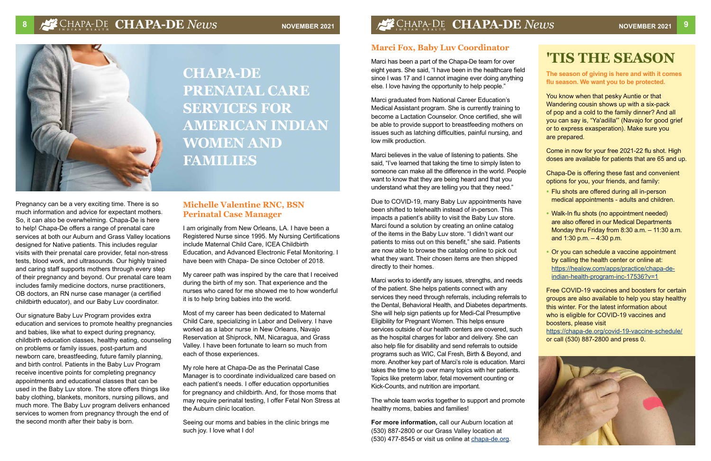# **'TIS THE SEASON**

#### **The season of giving is here and with it comes flu season. We want you to be protected.**

You know when that pesky Auntie or that Wandering cousin shows up with a six-pack of pop and a cold to the family dinner? And all you can say is, "Ya'adilla'" (Navajo for good grief or to express exasperation). Make sure you are prepared.

Come in now for your free 2021-22 flu shot. High doses are available for patients that are 65 and up.

Chapa-De is offering these fast and convenient options for you, your friends, and family:

- **•** Flu shots are offered during all in-person medical appointments - adults and children.
- **•** Walk-In flu shots (no appointment needed) are also offered in our Medical Departments Monday thru Friday from 8:30 a.m. – 11:30 a.m. and 1:30 p.m. – 4:30 p.m.
- **•** Or you can schedule a vaccine appointment by calling the health center or online at: [https://healow.com/apps/practice/chapa-de](https://healow.com/apps/practice/chapa-de-indian-health-program-inc-17536?v=1)[indian-health-program-inc-17536?v=1](https://healow.com/apps/practice/chapa-de-indian-health-program-inc-17536?v=1)



# **8** CHAPA-DE **CHAPA-DE** *News* **November 2021 1999 12 CHAPA-DE** *News* **<b>November 2021**



**CHAPA-DE PRENATAL CARE SERVICES FOR AMERICAN INDIAN WOMEN AND FAMILIES**

Pregnancy can be a very exciting time. There is so much information and advice for expectant mothers. So, it can also be overwhelming. Chapa-De is here to help! Chapa-De offers a range of prenatal care services at both our Auburn and Grass Valley locations designed for Native patients. This includes regular visits with their prenatal care provider, fetal non-stress tests, blood work, and ultrasounds. Our highly trained and caring staff supports mothers through every step of their pregnancy and beyond. Our prenatal care team includes family medicine doctors, nurse practitioners, OB doctors, an RN nurse case manager (a certified childbirth educator), and our Baby Luv coordinator.

Our signature Baby Luv Program provides extra education and services to promote healthy pregnancies and babies, like what to expect during pregnancy, childbirth education classes, healthy eating, counseling on problems or family issues, post-partum and newborn care, breastfeeding, future family planning, and birth control. Patients in the Baby Luv Program receive incentive points for completing pregnancy appointments and educational classes that can be used in the Baby Luv store. The store offers things like baby clothing, blankets, monitors, nursing pillows, and much more. The Baby Luv program delivers enhanced services to women from pregnancy through the end of the second month after their baby is born.

## **Michelle Valentine RNC, BSN Perinatal Case Manager**

I am originally from New Orleans, LA. I have been a Registered Nurse since 1995. My Nursing Certifications include Maternal Child Care, ICEA Childbirth Education, and Advanced Electronic Fetal Monitoring. I have been with Chapa- De since October of 2018.

My career path was inspired by the care that I received during the birth of my son. That experience and the nurses who cared for me showed me to how wonderful it is to help bring babies into the world.

Most of my career has been dedicated to Maternal Child Care, specializing in Labor and Delivery. I have worked as a labor nurse in New Orleans, Navajo Reservation at Shiprock, NM, Nicaragua, and Grass Valley. I have been fortunate to learn so much from each of those experiences.

Free COVID-19 vaccines and boosters for certain groups are also available to help you stay healthy this winter. For the latest information about who is eligible for COVID-19 vaccines and boosters, please visit <https://chapa-de.org/covid-19-vaccine-schedule/> or call (530) 887-2800 and press 0. Marci works to identify any issues, strengths, and needs of the patient. She helps patients connect with any services they need through referrals, including referrals to the Dental, Behavioral Health, and Diabetes departments. She will help sign patients up for Medi-Cal Presumptive Eligibility for Pregnant Women. This helps ensure services outside of our health centers are covered, such as the hospital charges for labor and delivery. She can also help file for disability and send referrals to outside programs such as WIC, Cal Fresh, Birth & Beyond, and more. Another key part of Marci's role is education. Marci takes the time to go over many topics with her patients. Topics like preterm labor, fetal movement counting or Kick-Counts, and nutrition are important.

My role here at Chapa-De as the Perinatal Case Manager is to coordinate individualized care based on each patient's needs. I offer education opportunities for pregnancy and childbirth. And, for those moms that may require perinatal testing, I offer Fetal Non Stress at the Auburn clinic location.

Seeing our moms and babies in the clinic brings me such joy. I love what I do!

## **Marci Fox, Baby Luv Coordinator**

Marci has been a part of the Chapa-De team for over eight years. She said, "I have been in the healthcare field since I was 17 and I cannot imagine ever doing anything else. I love having the opportunity to help people."

Marci graduated from National Career Education's Medical Assistant program. She is currently training to become a Lactation Counselor. Once certified, she will be able to provide support to breastfeeding mothers on issues such as latching difficulties, painful nursing, and low milk production.

Marci believes in the value of listening to patients. She said, "I've learned that taking the time to simply listen to someone can make all the difference in the world. People want to know that they are being heard and that you understand what they are telling you that they need."

Due to COVID-19, many Baby Luv appointments have been shifted to telehealth instead of in-person. This impacts a patient's ability to visit the Baby Luv store. Marci found a solution by creating an online catalog of the items in the Baby Luv store. "I didn't want our patients to miss out on this benefit," she said. Patients are now able to browse the catalog online to pick out what they want. Their chosen items are then shipped directly to their homes.

The whole team works together to support and promote healthy moms, babies and families!

**For more information,** call our Auburn location at (530) 887-2800 or our Grass Valley location at (530) 477-8545 or visit us online at [chapa-de.org](mailto:www.chapa-de.org?subject=).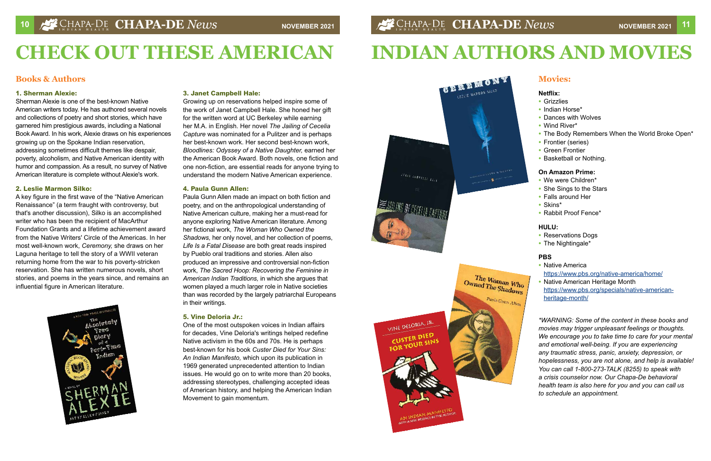## **Books & Authors**

#### **1. Sherman Alexie:**

Sherman Alexie is one of the best-known Native American writers today. He has authored several novels and collections of poetry and short stories, which have garnered him prestigious awards, including a National Book Award. In his work, Alexie draws on his experiences growing up on the Spokane Indian reservation, addressing sometimes difficult themes like despair, poverty, alcoholism, and Native American identity with humor and compassion. As a result, no survey of Native American literature is complete without Alexie's work.

#### **2. Leslie Marmon Silko:**

A key figure in the first wave of the "Native American Renaissance" (a term fraught with controversy, but that's another discussion), Silko is an accomplished writer who has been the recipient of MacArthur Foundation Grants and a lifetime achievement award from the Native Writers' Circle of the Americas. In her most well-known work, *Ceremony,* she draws on her Laguna heritage to tell the story of a WWII veteran returning home from the war to his poverty-stricken reservation. She has written numerous novels, short stories, and poems in the years since, and remains an influential figure in American literature.



#### **3. Janet Campbell Hale:**

Growing up on reservations helped inspire some of the work of Janet Campbell Hale. She honed her gift for the written word at UC Berkeley while earning her M.A. in English. Her novel *The Jailing of Cecelia Capture* was nominated for a Pulitzer and is perhaps her best-known work. Her second best-known work, *Bloodlines: Odyssey of a Native Daughter,* earned her the American Book Award. Both novels, one fiction and one non-fiction, are essential reads for anyone trying to understand the modern Native American experience.

#### **4. Paula Gunn Allen:**

Paula Gunn Allen made an impact on both fiction and poetry, and on the anthropological understanding of Native American culture, making her a must-read for anyone exploring Native American literature. Among her fictional work, *The Woman Who Owned the Shadows,* her only novel, and her collection of poems, *Life Is a Fatal Disease* are both great reads inspired by Pueblo oral traditions and stories. Allen also produced an impressive and controversial non-fiction work, *The Sacred Hoop: Recovering the Feminine in American Indian Traditions,* in which she argues that women played a much larger role in Native societies than was recorded by the largely patriarchal Europeans in their writings.

#### **5. Vine Deloria Jr.:**

One of the most outspoken voices in Indian affairs for decades, Vine Deloria's writings helped redefine Native activism in the 60s and 70s. He is perhaps best-known for his book *Custer Died for Your Sins: An Indian Manifesto,* which upon its publication in 1969 generated unprecedented attention to Indian issues. He would go on to write more than 20 books, addressing stereotypes, challenging accepted ideas of American history, and helping the American Indian Movement to gain momentum.



VINE DELORIA, JR.

CUSTER DIED FOR YOUR SINS

# **CHECK OUT THESE AMERICAN**

## **Movies:**

#### **Netflix:**

- **•** Grizzlies
- **•** Indian Horse\*
- **•** Dances with Wolves
- **•** Wind River\*
- **•** The Body Remembers When the World Broke Open\*
- **•** Frontier (series)
- **•** Green Frontier
- **•** Basketball or Nothing.

#### **On Amazon Prime:**

- **•** We were Children\*
- **•** She Sings to the Stars
- **•** Falls around Her
- **•** Skins\*
- **•** Rabbit Proof Fence\*

#### **HULU:**

- **•** Reservations Dogs
- **•** The Nightingale\*

#### **PBS**

- **•** Native America [https://www.pbs.org/native-america/home/](https://www.pbs.org/native-america/home/ )
- **•** Native American Heritage Month [https://www.pbs.org/specials/native-american](https://www.pbs.org/specials/native-american-heritage-month/)[heritage-month/](https://www.pbs.org/specials/native-american-heritage-month/)

*\*WARNING: Some of the content in these books and movies may trigger unpleasant feelings or thoughts. We encourage you to take time to care for your mental and emotional well-being. If you are experiencing any traumatic stress, panic, anxiety, depression, or hopelessness, you are not alone, and help is available! You can call 1-800-273-TALK (8255) to speak with a crisis counselor now. Our Chapa-De behavioral health team is also here for you and you can call us to schedule an appointment.*

# **INDIAN AUTHORS AND MOVIES**

Owned The Shadows Paula Gunn Allen

The Woman Who<br>vned The Shaw Who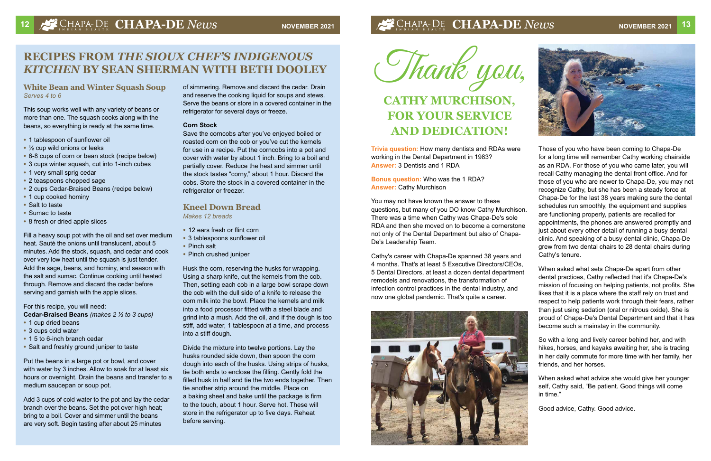# **<sup>12</sup> CHAPA-DE** *News* **NOVEMBER 2021 CHAPA-DE** *News* **NOVEMBER 2021 <sup>13</sup>**

## **RECIPES FROM** *THE SIOUX CHEF'S INDIGENOUS KITCHEN* **BY SEAN SHERMAN WITH BETH DOOLEY**

#### **White Bean and Winter Squash Soup**  *Serves 4 to 6*

This soup works well with any variety of beans or more than one. The squash cooks along with the beans, so everything is ready at the same time.

- **•** 1 tablespoon of sunflower oil
- **•** ½ cup wild onions or leeks
- **•** 6-8 cups of corn or bean stock (recipe below)
- **•** 3 cups winter squash, cut into 1-inch cubes
- **•** 1 very small sprig cedar
- **•** 2 teaspoons chopped sage
- **•** 2 cups Cedar-Braised Beans (recipe below)
- **•** 1 cup cooked hominy
- **•** Salt to taste
- **•** Sumac to taste
- **•** 8 fresh or dried apple slices

Fill a heavy soup pot with the oil and set over medium heat. Sauté the onions until translucent, about 5 minutes. Add the stock, squash, and cedar and cook over very low heat until the squash is just tender. Add the sage, beans, and hominy, and season with the salt and sumac. Continue cooking until heated through. Remove and discard the cedar before serving and garnish with the apple slices.

Save the corncobs after you've enjoyed boiled or roasted corn on the cob or you've cut the kernels for use in a recipe. Put the corncobs into a pot and cover with water by about 1 inch. Bring to a boil and partially cover. Reduce the heat and simmer until the stock tastes "corny," about 1 hour. Discard the cobs. Store the stock in a covered container in the refrigerator or freezer.

For this recipe, you will need:

**Cedar-Braised Beans** *(makes 2 ½ to 3 cups)* 

- **•** 1 cup dried beans
- **•** 3 cups cold water
- **•** 1 5 to 6-inch branch cedar
- **•** Salt and freshly ground juniper to taste

Put the beans in a large pot or bowl, and cover with water by 3 inches. Allow to soak for at least six hours or overnight. Drain the beans and transfer to a medium saucepan or soup pot.

Add 3 cups of cold water to the pot and lay the cedar branch over the beans. Set the pot over high heat; bring to a boil. Cover and simmer until the beans are very soft. Begin tasting after about 25 minutes

**Bonus question:** Who was the 1 RDA? **Answer: Cathy Murchison** 

of simmering. Remove and discard the cedar. Drain and reserve the cooking liquid for soups and stews. Serve the beans or store in a covered container in the refrigerator for several days or freeze.

#### **Corn Stock**

## **Kneel Down Bread**

*Makes 12 breads* 

- **•** 12 ears fresh or flint corn
- **•** 3 tablespoons sunflower oil
- **•** Pinch salt
- **•** Pinch crushed juniper

Husk the corn, reserving the husks for wrapping. Using a sharp knife, cut the kernels from the cob. Then, setting each cob in a large bowl scrape down the cob with the dull side of a knife to release the corn milk into the bowl. Place the kernels and milk into a food processor fitted with a steel blade and grind into a mush. Add the oil, and if the dough is too stiff, add water, 1 tablespoon at a time, and process into a stiff dough.

Divide the mixture into twelve portions. Lay the husks rounded side down, then spoon the corn dough into each of the husks. Using strips of husks, tie both ends to enclose the filling. Gently fold the filled husk in half and tie the two ends together. Then tie another strip around the middle. Place on a baking sheet and bake until the package is firm to the touch, about 1 hour. Serve hot. These will store in the refrigerator up to five days. Reheat before serving.

**Trivia question:** How many dentists and RDAs were working in the Dental Department in 1983? **Answer:** 3 Dentists and 1 RDA

You may not have known the answer to these questions, but many of you DO know Cathy Murchison. There was a time when Cathy was Chapa-De's sole RDA and then she moved on to become a cornerstone not only of the Dental Department but also of Chapa-De's Leadership Team.

Those of you who have been coming to Chapa-De for a long time will remember Cathy working chairside as an RDA. For those of you who came later, you will recall Cathy managing the dental front office. And for those of you who are newer to Chapa-De, you may not recognize Cathy, but she has been a steady force at Chapa-De for the last 38 years making sure the dental schedules run smoothly, the equipment and supplies are functioning properly, patients are recalled for appointments, the phones are answered promptly and just about every other detail of running a busy dental clinic. And speaking of a busy dental clinic, Chapa-De grew from two dental chairs to 28 dental chairs during Cathy's tenure.

Cathy's career with Chapa-De spanned 38 years and 4 months. That's at least 5 Executive Directors/CEOs, 5 Dental Directors, at least a dozen dental department remodels and renovations, the transformation of infection control practices in the dental industry, and now one global pandemic. That's quite a career. When asked what sets Chapa-De apart from other dental practices, Cathy reflected that it's Chapa-De's mission of focusing on helping patients, not profits. She likes that it is a place where the staff rely on trust and respect to help patients work through their fears, rather than just using sedation (oral or nitrous oxide). She is proud of Chapa-De's Dental Department and that it has become such a mainstay in the community.





So with a long and lively career behind her, and with hikes, horses, and kayaks awaiting her, she is trading in her daily commute for more time with her family, her friends, and her horses.

When asked what advice she would give her younger self, Cathy said, "Be patient. Good things will come in time."

Good advice, Cathy. Good advice.



# **CATHY MURCHISON, FOR YOUR SERVICE AND DEDICATION!**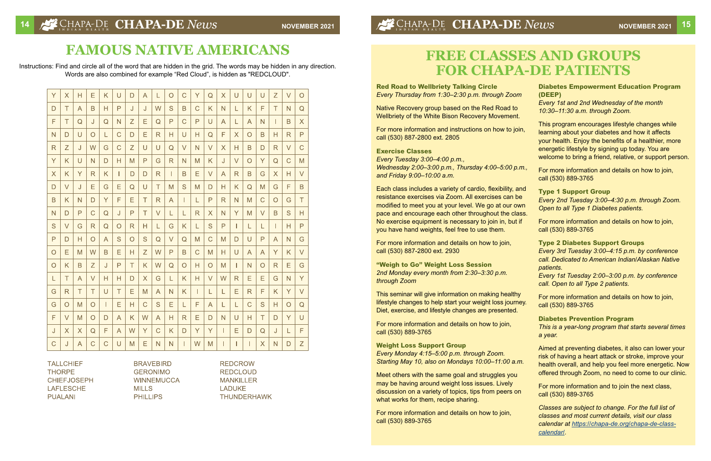# **FREE CLASSES AND GROUPS FOR CHAPA-DE PATIENTS**

**Red Road to Wellbriety Talking Circle**  *Every Thursday from 1:30–2:30 p.m. through Zoom* 

Native Recovery group based on the Red Road to Wellbriety of the White Bison Recovery Movement.

For more information and instructions on how to join, call (530) 887-2800 ext. 2805

#### **Exercise Classes**

*Every Tuesday 3:00–4:00 p.m., Wednesday 2:00–3:00 p.m., Thursday 4:00–5:00 p.m., and Friday 9:00–10:00 a.m.* 

Each class includes a variety of cardio, flexibility, and resistance exercises via Zoom. All exercises can be modified to meet you at your level. We go at our own pace and encourage each other throughout the class. No exercise equipment is necessary to join in, but if you have hand weights, feel free to use them.

Meet others with the same goal and struggles you may be having around weight loss issues. Lively discussion on a variety of topics, tips from peers on what works for them, recipe sharing.

For more information and details on how to join, call (530) 887-2800 ext. 2930

**"Weigh to Go" Weight Loss Session**  *2nd Monday every month from 2:30–3:30 p.m. through Zoom* 

This seminar will give information on making healthy lifestyle changes to help start your weight loss journey. Diet, exercise, and lifestyle changes are presented.

For more information and details on how to join, call (530) 889-3765

**Weight Loss Support Group**  *Every Monday 4:15–5:00 p.m. through Zoom. Starting May 10, also on Mondays 10:00–11:00 a.m.* 

For more information and details on how to join, call (530) 889-3765

**Diabetes Empowerment Education Program (DEEP)**  *Every 1st and 2nd Wednesday of the month 10:30–11:30 a.m. through Zoom.* 

- This program encourages lifestyle changes while learning about your diabetes and how it affects your health. Enjoy the benefits of a healthier, more energetic lifestyle by signing up today. You are welcome to bring a friend, relative, or support person.
- For more information and details on how to join, call (530) 889-3765
- **Type 1 Support Group**  *Every 2nd Tuesday 3:00–4:30 p.m. through Zoom. Open to all Type 1 Diabetes patients.* 
	- For more information and details on how to join, call (530) 889-3765

**Type 2 Diabetes Support Groups** *Every 3rd Tuesday 3:00–4:15 p.m. by conference call. Dedicated to American Indian/Alaskan Native patients. Every 1st Tuesday 2:00–3:00 p.m. by conference call. Open to all Type 2 patients.* 

For more information and details on how to join, call (530) 889-3765

**Diabetes Prevention Program**  *This is a year-long program that starts several times a year.* 

Aimed at preventing diabetes, it also can lower your risk of having a heart attack or stroke, improve your health overall, and help you feel more energetic. Now offered through Zoom, no need to come to our clinic.

For more information and to join the next class, call (530) 889-3765

*Classes are subject to change. For the full list of classes and most current details, visit our class calendar at [https://chapa-de.org/chapa-de-class](https://chapa-de.org/chapa-de-class-calendar/)[calendar/](https://chapa-de.org/chapa-de-class-calendar/).* 

# **FAMOUS NATIVE AMERICANS**

Instructions: Find and circle all of the word that are hidden in the grid. The words may be hidden in any direction. Words are also combined for example "Red Cloud", is hidden as "REDCLOUD".

| Y           | $\overline{\mathsf{X}}$ | Н | E            | K            | $\cup$      | D       | A            | L            | $\overline{O}$ | $\overline{C}$ | Y            | Q      | X            | $\cup$   | U              | U           | Z              | $\vee$         | $\overline{O}$ |
|-------------|-------------------------|---|--------------|--------------|-------------|---------|--------------|--------------|----------------|----------------|--------------|--------|--------------|----------|----------------|-------------|----------------|----------------|----------------|
| D           | T                       | A | B            | Н            | P           | J       | J            | W            | S              | B              | C            | K      | N            | L        | K              | F           | T              | N              | Q              |
| F           | T                       | Q | J            | Q            | N           | Z       | E            | Q            | P              | $\mathsf C$    | P            | U      | A            | L        | A              | N           |                | B              | $\times$       |
| N           | D                       | U | $\circ$      | L            | $\mathsf C$ | D       | Ε            | R            | Н              | $\cup$         | н            | Q      | F            | $\times$ | $\circ$        | B           | H              | $\mathsf{R}$   | P              |
| $\mathsf R$ | Z                       | J | W            | G            | $\mathsf C$ | Z       | U            | U            | Q              | $\vee$         | N            | V      | $\times$     | Н        | B              | D           | $\mathsf{R}$   | $\vee$         | $\overline{C}$ |
| Y           | K                       | U | N            | D            | Н           | M       | $\mathsf{P}$ | G            | R              | N              | M            | K      | J            | $\vee$   | $\overline{O}$ | Ÿ           | $\mathsf Q$    | $\overline{C}$ | M              |
| X           | Κ                       | Y | R            | K            | L           | D       | D            | R            | Ш              | B              | Е            | V      | A            | R        | B              | G           | $\sf X$        | Н              | $\vee$         |
| D           | V                       | J | Е            | G            | E           | Q       | U            | T            | M              | S              | M            | D      | Н            | K        | Q              | M           | G              | F              | B              |
| B           | K                       | N | D            | Y            | F           | Е       | T            | $\mathsf{R}$ | A              | Ш              | L            | P      | $\mathsf{R}$ | N        | M              | $\mathsf C$ | $\circ$        | G              | T              |
| N           | D                       | P | C            | Q            | J           | P       | Τ            | $\vee$       | L              | L              | $\mathsf{R}$ | X      | N            | Y        | M              | V           | B              | S              | Η              |
| S           | V                       | G | R            | Q            | $\circ$     | R       | Н            | L            | G              | K              | L            | S      | P            | Т        | L              | L           |                | Н              | P              |
| P           | D                       | Н | $\circ$      | A            | S           | $\circ$ | S            | $\mathsf Q$  | $\vee$         | Q              | M            | C      | M            | D        | U              | P           | $\overline{A}$ | N              | G              |
| $\circ$     | E                       | M | W            | B            | E           | н       | Z            | W            | P              | B              | C            | M      | Н            | U        | A              | A           | Y              | K              | $\vee$         |
| $\circ$     | K                       | B | Z            | J            | P           | T       | K            | W            | Q              | O              | Н            | O      | M            | ш        | N              | O           | R              | E              | G              |
| L           | T                       | A | V            | Н            | н           | D       | X            | G            | L              | Κ              | н            | $\vee$ | W            | R        | Е              | Е           | G              | N              | Ÿ              |
| G           | R                       | T | T            | U            | T           | E       | M            | A            | N              | K              | Ш            | L      | L            | E        | $\mathsf R$    | F           | K              | Y              | $\vee$         |
| G           | O                       | M | $\circ$      | L            | E           | Η       | $\mathsf C$  | S            | E              | L              | F            | A      | L            | L        | C              | S           | Н              | $\circ$        | Q              |
| F           | V                       | M | $\circ$      | $\mathsf{D}$ | A           | K       | W            | A            | н              | R              | Е            | D      | N            | U        | Н              | T           | D              | Y              | U              |
| J           | X                       | X | Q            | F            | A           | W       | Y            | C            | K              | D              | Y            | Y      | г            | Ε        | D              | Q           | J              | L              | F              |
| $\mathsf C$ | J                       | A | $\mathsf{C}$ | $\mathsf{C}$ | U           | M       | E            | N            | $\mathsf{N}$   | L              | W            | M      | L            | L        | T              | X           | N              | D              | Z              |

**TALLCHIEF THORPE CHIEFJOSEPH LAFLESCHE PUALANI** 

**BRAVEBIRD GERONIMO WINNEMUCCA MILLS PHILLIPS** 

**REDCROW REDCLOUD MANKILLER LADUKE THUNDERHAWK**